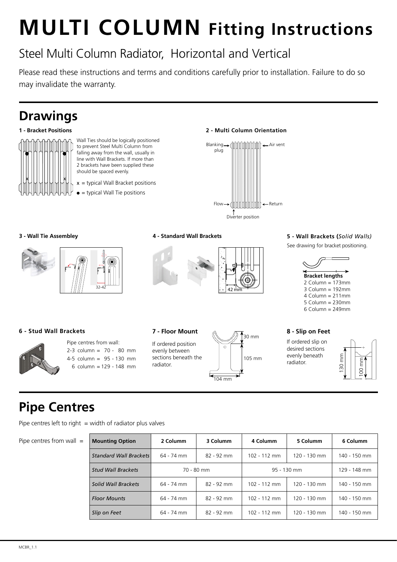#### **MULTI COLUMN Fitting Instructions**  $\overline{\phantom{a}}$ FITTING INSTRUCTIONS

# Steel Multi Column Radiator, Horizontal and Vertical

Please read these instructions and terms and conditions carefully prior to installation. Failure to do so may invalidate the warranty.

## **Drawings**

#### **1 - Bracket Positions**



- Wall Ties should be logically positioned to prevent Steel Multi Column from falling away from the wall, usually in line with Wall Brackets. If more than 2 brackets have been supplied these should be spaced evenly.
- $x =$  typical Wall Bracket positions
- $\bullet$  = typical Wall Tie positions

#### **2 - Multi Column Orientation**



#### **3 - Wall Tie Assembley**



#### **4 - Standard Wall Brackets**



#### **5 - Wall Brackets (***Solid Walls)*

See drawing for bracket positioning.



#### $\sigma$  Column = 249 $\sigma$ 6 Column = 249mm

#### **6 - Stud Wall Brackets**



#### Pipe centres from wall: 2-3 column = 70 - 80 mm 4-5 column = 95 - 130 mm 6 column = 129 - 148 mm

If ordered position evenly between sections beneath the radiator.



If ordered slip on desired sections evenly beneath radiator.



## **Pipe Centres**

Pipe centres left to right  $=$  width of radiator plus valves

Pipe centres from wall  $=$ 

| <b>Mounting Option</b>        | 2 Columm   | 3 Columm   | 4 Columm      | 5 Columm     | 6 Columm     |
|-------------------------------|------------|------------|---------------|--------------|--------------|
| <b>Standard Wall Brackets</b> | 64 - 74 mm | 82 - 92 mm | 102 - 112 mm  | 120 - 130 mm | 140 - 150 mm |
| <b>Stud Wall Brackets</b>     | 70 - 80 mm |            | $95 - 130$ mm |              | 129 - 148 mm |
| Solid Wall Brackets           | 64 - 74 mm | 82 - 92 mm | 102 - 112 mm  | 120 - 130 mm | 140 - 150 mm |
| <b>Floor Mounts</b>           | 64 - 74 mm | 82 - 92 mm | 102 - 112 mm  | 120 - 130 mm | 140 - 150 mm |
| Slip on Feet                  | 64 - 74 mm | 82 - 92 mm | 102 - 112 mm  | 120 - 130 mm | 140 - 150 mm |